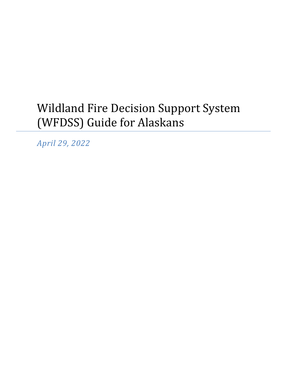# Wildland Fire Decision Support System (WFDSS) Guide for Alaskans

*April 29, 2022*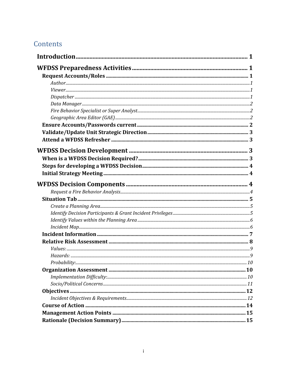# Contents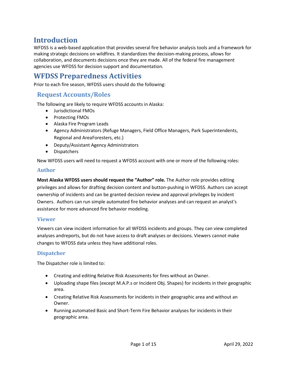# <span id="page-2-0"></span>**Introduction**

WFDSS is a web-based application that provides several fire behavior analysis tools and a framework for making strategic decisions on wildfires. It standardizes the decision-making process, allows for collaboration, and documents decisions once they are made. All of the federal fire management agencies use WFDSS for decision support and documentation.

# <span id="page-2-1"></span>**WFDSS Preparedness Activities**

Prior to each fire season, WFDSS users should do the following:

### <span id="page-2-2"></span>**Request Accounts/Roles**

The following are likely to require WFDSS accounts in Alaska:

- Jurisdictional FMOs
- Protecting FMOs
- Alaska Fire Program Leads
- Agency Administrators (Refuge Managers, Field Office Managers, Park Superintendents, Regional and AreaForesters, etc.)
- Deputy/Assistant Agency Administrators
- Dispatchers

New WFDSS users will need to request a WFDSS account with one or more of the following roles:

#### <span id="page-2-3"></span>**Author**

**Most Alaska WFDSS users should request the "Author" role.** The Author role provides editing privileges and allows for drafting decision content and button-pushing in WFDSS. Authors can accept ownership of incidents and can be granted decision review and approval privileges by incident Owners. Authors can run simple automated fire behavior analyses and can request an analyst's assistance for more advanced fire behavior modeling.

#### <span id="page-2-4"></span>**Viewer**

Viewers can view incident information for all WFDSS incidents and groups. They can view completed analyses andreports, but do not have access to draft analyses or decisions. Viewers cannot make changes to WFDSS data unless they have additional roles.

#### <span id="page-2-5"></span>**Dispatcher**

The Dispatcher role is limited to:

- Creating and editing Relative Risk Assessments for fires without an Owner.
- Uploading shape files (except M.A.P.s or Incident Obj. Shapes) for incidents in their geographic area.
- Creating Relative Risk Assessments for incidents in their geographic area and without an Owner.
- Running automated Basic and Short-Term Fire Behavior analyses for incidents in their geographic area.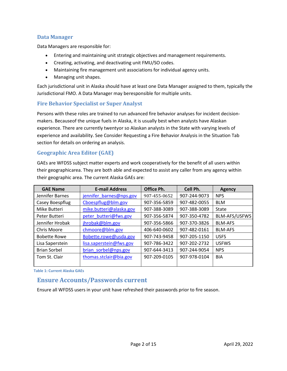### <span id="page-3-0"></span>**Data Manager**

Data Managers are responsible for:

- Entering and maintaining unit strategic objectives and management requirements.
- Creating, activating, and deactivating unit FMU/SO codes.
- Maintaining fire management unit associations for individual agency units.
- Managing unit shapes.

Each jurisdictional unit in Alaska should have at least one Data Manager assigned to them, typically the Jurisdictional FMO. A Data Manager may beresponsible for multiple units.

#### <span id="page-3-1"></span>**Fire Behavior Specialist or Super Analyst**

Persons with these roles are trained to run advanced fire behavior analyses for incident decisionmakers. Becauseof the unique fuels in Alaska, it is usually best when analysts have Alaskan experience. There are currently twentyor so Alaskan analysts in the State with varying levels of experience and availability. See Consider Requesting a Fire Behavior Analysis in the Situation Tab section for details on ordering an analysis.

#### <span id="page-3-2"></span>**Geographic Area Editor (GAE)**

GAEs are WFDSS subject matter experts and work cooperatively for the benefit of all users within their geographicarea. They are both able and expected to assist any caller from any agency within their geographic area. The current Alaska GAEs are:

| <b>GAE Name</b>     | <b>E-mail Address</b>   | Office Ph.   | Cell Ph.     | Agency         |
|---------------------|-------------------------|--------------|--------------|----------------|
| Jennifer Barnes     | jennifer_barnes@nps.gov | 907-455-0652 | 907-244-9073 | <b>NPS</b>     |
| Casey Boespflug     | Cboespflug@blm.gov      | 907-356-5859 | 907-482-0055 | <b>BLM</b>     |
| Mike Butteri        | mike.butteri@alaska.gov | 907-388-3089 | 907-388-3089 | <b>State</b>   |
| Peter Butteri       | peter butteri@fws.gov   | 907-356-5874 | 907-350-4782 | BLM-AFS/USFWS  |
| Jennifer Hrobak     | jhrobak@blm.gov         | 907-356-5866 | 907-370-3826 | <b>BLM-AFS</b> |
| Chris Moore         | chmoore@blm.gov         | 406-640-0602 | 907-482-0161 | <b>BLM-AFS</b> |
| <b>Bobette Rowe</b> | Bobette.rowe@usda.gov   | 907-743-9458 | 907-205-1150 | <b>USFS</b>    |
| Lisa Saperstein     | lisa.saperstein@fws.gov | 907-786-3422 | 907-202-2732 | <b>USFWS</b>   |
| <b>Brian Sorbel</b> | brian sorbel@nps.gov    | 907-644-3413 | 907-244-9054 | <b>NPS</b>     |
| Tom St. Clair       | thomas.stclair@bia.gov  | 907-209-0105 | 907-978-0104 | <b>BIA</b>     |
|                     |                         |              |              |                |

<span id="page-3-3"></span>**Table 1: Current Alaska GAEs**

### **Ensure Accounts/Passwords current**

Ensure all WFDSS users in your unit have refreshed their passwords prior to fire season.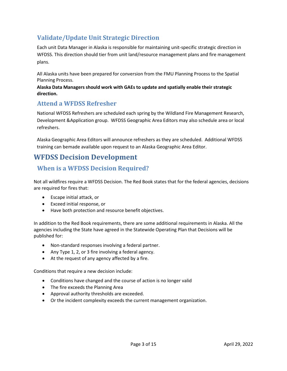# <span id="page-4-0"></span>**Validate/Update Unit Strategic Direction**

Each unit Data Manager in Alaska is responsible for maintaining unit-specific strategic direction in WFDSS. This direction should tier from unit land/resource management plans and fire management plans.

All Alaska units have been prepared for conversion from the FMU Planning Process to the Spatial Planning Process.

**Alaska Data Managers should work with GAEs to update and spatially enable their strategic direction.**

# <span id="page-4-1"></span>**Attend a WFDSS Refresher**

National WFDSS Refreshers are scheduled each spring by the Wildland Fire Management Research, Development &Application group. WFDSS Geographic Area Editors may also schedule area or local refreshers.

Alaska Geographic Area Editors will announce refreshers as they are scheduled. Additional WFDSS training can bemade available upon request to an Alaska Geographic Area Editor.

# <span id="page-4-2"></span>**WFDSS Decision Development**

# <span id="page-4-3"></span>**When is a WFDSS Decision Required?**

Not all wildfires require a WFDSS Decision. The Red Book states that for the federal agencies, decisions are required for fires that:

- Escape initial attack, or
- Exceed initial response, or
- Have both protection and resource benefit objectives.

In addition to the Red Book requirements, there are some additional requirements in Alaska. All the agencies including the State have agreed in the Statewide Operating Plan that Decisions will be published for:

- Non-standard responses involving a federal partner.
- Any Type 1, 2, or 3 fire involving a federal agency.
- At the request of any agency affected by a fire.

Conditions that require a new decision include:

- Conditions have changed and the course of action is no longer valid
- The fire exceeds the Planning Area
- Approval authority thresholds are exceeded.
- Or the incident complexity exceeds the current management organization.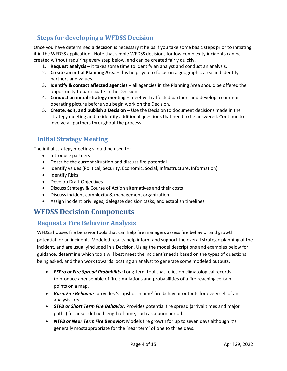# <span id="page-5-0"></span>**Steps for developing a WFDSS Decision**

Once you have determined a decision is necessary it helps if you take some basic steps prior to initiating it in the WFDSS application. Note that simple WFDSS decisions for low complexity incidents can be created without requiring every step below, and can be created fairly quickly.

- 1. **Request analysis** it takes some time to identify an analyst and conduct an analysis.
- 2. **Create an initial Planning Area** this helps you to focus on a geographic area and identify partners and values.
- 3. **Identify & contact affected agencies** all agencies in the Planning Area should be offered the opportunity to participate in the Decision.
- 4. **Conduct an initial strategy meeting** meet with affected partners and develop a common operating picture before you begin work on the Decision.
- 5. **Create, edit, and publish a Decision** Use the Decision to document decisions made in the strategy meeting and to identify additional questions that need to be answered. Continue to involve all partners throughout the process.

# <span id="page-5-1"></span>**Initial Strategy Meeting**

The initial strategy meeting should be used to:

- Introduce partners
- Describe the current situation and discuss fire potential
- Identify values (Political, Security, Economic, Social, Infrastructure, Information)
- Identify Risks
- Develop Draft Objectives
- Discuss Strategy & Course of Action alternatives and their costs
- Discuss incident complexity & management organization
- Assign incident privileges, delegate decision tasks, and establish timelines

# <span id="page-5-2"></span>**WFDSS Decision Components**

### <span id="page-5-3"></span>**Request a Fire Behavior Analysis**

WFDSS houses fire behavior tools that can help fire managers assess fire behavior and growth potential for an incident. Modeled results help inform and support the overall strategic planning of the incident, and are usuallyincluded in a Decision. Using the model descriptions and examples below for guidance, determine which tools will best meet the incident'sneeds based on the types of questions being asked, and then work towards locating an analyst to generate some modeled outputs.

- *FSPro or Fire Spread Probability:* Long-term tool that relies on climatological records to produce anensemble of fire simulations and probabilities of a fire reaching certain points on a map.
- *Basic Fire Behavior:* provides 'snapshot in time' fire behavior outputs for every cell of an analysis area.
- *STFB or Short Term Fire Behavior:* Provides potential fire spread (arrival times and major paths) for auser defined length of time, such as a burn period.
- *NTFB or Near Term Fire Behavior***:** Models fire growth for up to seven days although it's generally mostappropriate for the 'near term' of one to three days.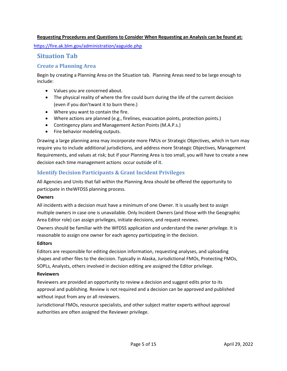#### **Requesting Procedures and Questions to Consider When Requesting an Analysis can be found at:**

https://fire.ak.blm.gov/administration/aaguide.php

### <span id="page-6-0"></span>**Situation Tab**

### <span id="page-6-1"></span>**Create a Planning Area**

Begin by creating a Planning Area on the Situation tab. Planning Areas need to be large enough to include:

- Values you are concerned about.
- The physical reality of where the fire could burn during the life of the current decision (even if you don'twant it to burn there.)
- Where you want to contain the fire.
- Where actions are planned (e.g., firelines, evacuation points, protection points.)
- Contingency plans and Management Action Points (M.A.P.s.)
- Fire behavior modeling outputs.

Drawing a large planning area may incorporate more FMUs or Strategic Objectives, which in turn may require you to include additional jurisdictions, and address more Strategic Objectives, Management Requirements, and values at risk; but if your Planning Area is too small, you will have to create a new decision each time management actions occur outside of it.

### <span id="page-6-2"></span>**Identify Decision Participants & Grant Incident Privileges**

All Agencies and Units that fall within the Planning Area should be offered the opportunity to participate in theWFDSS planning process.

#### **Owners**

All incidents with a decision must have a minimum of one Owner. It is usually best to assign multiple owners in case one is unavailable. Only Incident Owners (and those with the Geographic Area Editor role) can assign privileges, initiate decisions, and request reviews.

Owners should be familiar with the WFDSS application and understand the owner privilege. It is reasonable to assign one owner for each agency participating in the decision.

#### **Editors**

Editors are responsible for editing decision information, requesting analyses, and uploading shapes and other files to the decision. Typically in Alaska, Jurisdictional FMOs, Protecting FMOs, SOPLs, Analysts, others involved in decision editing are assigned the Editor privilege.

#### **Reviewers**

Reviewers are provided an opportunity to review a decision and suggest edits prior to its approval and publishing. Review is not required and a decision can be approved and published without input from any or all reviewers.

Jurisdictional FMOs, resource specialists, and other subject matter experts without approval authorities are often assigned the Reviewer privilege.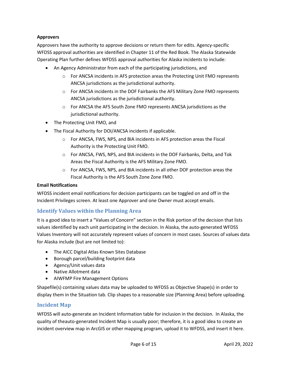#### **Approvers**

Approvers have the authority to approve decisions or return them for edits. Agency-specific WFDSS approval authorities are identified in Chapter 11 of the Red Book. The Alaska Statewide Operating Plan further defines WFDSS approval authorities for Alaska incidents to include:

- An Agency Administrator from each of the participating jurisdictions, and
	- $\circ$  For ANCSA incidents in AFS protection areas the Protecting Unit FMO represents ANCSA jurisdictions as the jurisdictional authority.
	- $\circ$  For ANCSA incidents in the DOF Fairbanks the AFS Military Zone FMO represents ANCSA jurisdictions as the jurisdictional authority.
	- o For ANCSA the AFS South Zone FMO represents ANCSA jurisdictions as the jurisdictional authority.
- The Protecting Unit FMO, and
- The Fiscal Authority for DOI/ANCSA incidents if applicable.
	- o For ANCSA, FWS, NPS, and BIA incidents in AFS protection areas the Fiscal Authority is the Protecting Unit FMO.
	- o For ANCSA, FWS, NPS, and BIA incidents in the DOF Fairbanks, Delta, and Tok Areas the Fiscal Authority is the AFS Military Zone FMO.
	- o For ANCSA, FWS, NPS, and BIA incidents in all other DOF protection areas the Fiscal Authority is the AFS South Zone Zone FMO.

#### **Email Notifications**

WFDSS incident email notifications for decision participants can be toggled on and off in the Incident Privileges screen. At least one Approver and one Owner must accept emails.

### <span id="page-7-0"></span>**Identify Values within the Planning Area**

It is a good idea to insert a "Values of Concern" section in the Risk portion of the decision that lists values identified by each unit participating in the decision. In Alaska, the auto-generated WFDSS Values Inventory will not accurately represent values of concern in most cases. Sources of values data for Alaska include (but are not limited to):

- The AICC Digital Atlas Known Sites Database
- Borough parcel/building footprint data
- Agency/Unit values data
- Native Allotment data
- AIWFMP Fire Management Options

Shapefile(s) containing values data may be uploaded to WFDSS as Objective Shape(s) in order to display them in the Situation tab. Clip shapes to a reasonable size (Planning Area) before uploading.

#### <span id="page-7-1"></span>**Incident Map**

WFDSS will auto-generate an Incident Information table for inclusion in the decision. In Alaska, the quality of theauto-generated Incident Map is usually poor; therefore, it is a good idea to create an incident overview map in ArcGIS or other mapping program, upload it to WFDSS, and insert it here.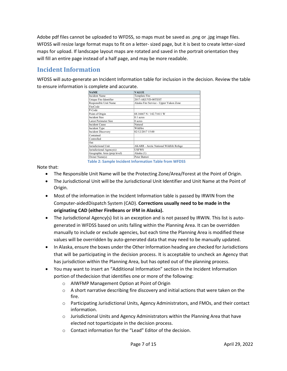Adobe pdf files cannot be uploaded to WFDSS, so maps must be saved as .png or .jpg image files. WFDSS will resize large format maps to fit on a letter- sized page, but it is best to create letter-sized maps for upload. If landscape layout maps are rotated and saved in the portrait orientation they will fill an entire page instead of a half page, and may be more readable.

# <span id="page-8-0"></span>**Incident Information**

WFDSS will auto-generate an Incident Information table for inclusion in the decision. Review the table to ensure information is complete and accurate.

| <b>NAME</b>                  | <b>VALUE</b>                                   |
|------------------------------|------------------------------------------------|
| <b>Incident Name</b>         | Template Fire                                  |
| Unique Fire Identifier       | 2017-AKUYD-00TEST                              |
| Responsible Unit Name        | Alaska Fire Service - Upper Yukon Zone         |
| FireCode                     |                                                |
| P-Code                       |                                                |
| Point of Origin              | 68.16667 N / 142.71611 W                       |
| Incident Size                | $0.1$ acres                                    |
| <b>Latest Perimeter Size</b> | 0 acres                                        |
| <b>Incident Cause</b>        | Natural                                        |
| Incident Type                | Wildfire                                       |
| <b>Incident Discovery</b>    | 02/12/2017 15:00                               |
| Contained                    |                                                |
| Controlled                   |                                                |
| Out                          |                                                |
| Jurisdictional Unit          | <b>AKARR</b> - Arctic National Wildlife Refuge |
| Jurisdictional Agency(s)     | USFWS                                          |
| Geographic Area (prep level) | Alaska (1)                                     |
| Owner Name(s)                | Peter Butteri                                  |

Note that:

**Table 2: Sample Incident Information Table from WFDSS**

- The Responsible Unit Name will be the Protecting Zone/Area/Forest at the Point of Origin.
- The Jurisdictional Unit will be the Jurisdictional Unit Identifier and Unit Name at the Point of Origin.
- Most of the information in the Incident Information table is passed by IRWIN from the Computer-aidedDispatch System (CAD). **Corrections usually need to be made in the originating CAD (either FireBeans or IFM in Alaska).**
- The Jurisdictional Agency(s) list is an exception and is not passed by IRWIN. This list is autogenerated in WFDSS based on units falling within the Planning Area. It can be overridden manually to include or exclude agencies, but each time the Planning Area is modified these values will be overridden by auto-generated data that may need to be manually updated.
- In Alaska, ensure the boxes under the Other Information heading are checked for Jurisdictions that will be participating in the decision process. It is acceptable to uncheck an Agency that has jurisdiction within the Planning Area, but has opted out of the planning process.
- You may want to insert an "Additional Information" section in the Incident Information portion of thedecision that identifies one or more of the following:
	- o AIWFMP Management Option at Point of Origin
	- $\circ$  A short narrative describing fire discovery and initial actions that were taken on the fire.
	- o Participating Jurisdictional Units, Agency Administrators, and FMOs, and their contact information.
	- $\circ$  Jurisdictional Units and Agency Administrators within the Planning Area that have elected not toparticipate in the decision process.
	- o Contact information for the "Lead" Editor of the decision.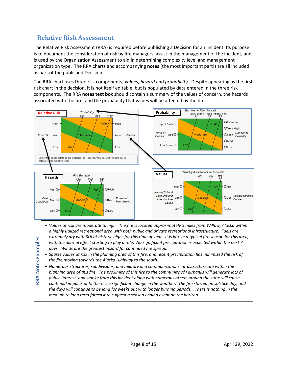# <span id="page-9-0"></span>**Relative Risk Assessment**

The Relative Risk Assessment (RRA) is required before publishing a Decision for an incident. Its purpose is to document the consideration of risk by fire managers, assist in the management of the incident, and is used by the Organization Assessment to aid in determining complexity level and management organization type. The RRA charts and accompanying **notes** (the most important part!) are all included as part of the published Decision.

The RRA chart uses three risk components; *values*, *hazard* and *probability*. Despite appearing as the first risk chart in the decision, it is not itself editable, but is populated by data entered in the three risk components. The RRA **notes text box** should contain a summary of the values of concern, the hazards associated with the fire, and the probability that values will be affected by the fire.

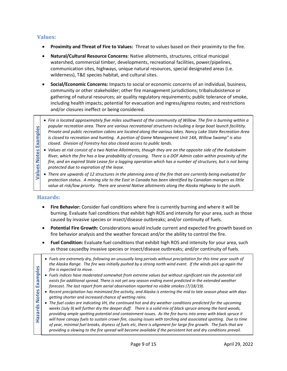#### <span id="page-10-0"></span>**Values:**

- **Proximity and Threat of Fire to Values:** Threat to values based on their proximity to the fire.
- **Natural/Cultural Resource Concerns**: Native allotments, structures, critical municipal watershed, commercial timber, developments, recreational facilities, power/pipelines, communication sites, highways, unique natural resources, special designated areas (i.e. wilderness), T&E species habitat, and cultural sites.
- **Social/Economic Concerns:** Impacts to social or economic concerns of an individual, business, community or other stakeholder; other fire management jurisdictions; tribalsubsistence or gathering of natural resources; air quality regulatory requirements; public tolerance of smoke, including health impacts; potential for evacuation and ingress/egress routes; and restrictions and/or closures ineffect or being considered.
- *popular recreation area. There are various recreational structures including a large boat launch facilitity.*
- *Fire is located approximately five miles southwest of the community of Willow. The fire is burning within a popular recreation area. There are various recreational structures including a large boat launch facilitity.<br>
P Private and public recreation cabins are located along the various lakes. Nancy Lake State Recreation Area is closed to recreation and hunting. A portion of Game Management Unit 14A, Willow Swamp" is also closed. Division of Forestry has also closed access to public lands.* • *Values at risk consist of a two Native Allotments, though they are on the opposite side of the Kuskokwim* 
	- *River, which the fire has a low probability of crossing. There is a DOF Admin cabin within proximity of the fire, and an expired State Lease for a logging operation which has a number of structures, but is not being protected due to expiration of the lease.*
	- *There are upwards of 12 structures in the planning area of the fire that are currently being evaluated for protection status. A mining site to the East in Canada has been identified by Canadian mangers as little value at risk/low priority. There are several Native allotments along the Alaska Highway to the south.*

### <span id="page-10-1"></span>**Hazards:**

- **Fire Behavior:** Consider fuel conditions where fire is currently burning and where it will be burning. Evaluate fuel conditions that exhibit high ROS and intensity for your area, such as those caused by invasive species or insect/disease outbreaks; and/or continuity of fuels.
- **Potential Fire Growth:** Considerations would include current and expected fire growth based on fire behavior analysis and the weather forecast and/or the ability to control the fire.
- **Fuel Condition:** Evaluate fuel conditions that exhibit high ROS and intensity for your area, such as those causedby invasive species or insect/disease outbreaks; and/or continuity of fuels.
- *Fuels are extremely dry, following an unusually long periods without precipitation for this time year south of*<br>the Alaska Range. The fire was initially pushed by a strong north wind event. If the winds pick up again th *the Alaska Range. The fire was initially pushed by a strong north wind event. If the winds pick up again the fire is expected to move.* • *Fuels indices have moderated somewhat from extreme values but without significant rain the potential still exists for additional spread. There is not yet any season ending event predicted in the extended weather forecast. The last report from aerial observation reported no visible smokes (7/18/19).* • *Recent precipitation has minimized fire activity, and Alaska is entering the mid to late season phase with days getting shorter and increased chance of wetting rains.* • *The fuel codes are indicating VH, the continued hot and dry weather conditions predicted for the upcoming weeks (July 9) will further dry the deeper duff. There is a solid mix of black spruce among the hard woods, providing ample spotting potential and containment issues. As the fire burns into areas with black spruce it*  will have canopy fuels to sustain crown fire, causing issues with torching and associated spotting. Due to time *of year, minimal fuel breaks, dryness of fuels etc, there is alignment for large fire growth. The fuels that are providing a slowing to the fire spread will become available if the persistent hot and dry conditions prevail.*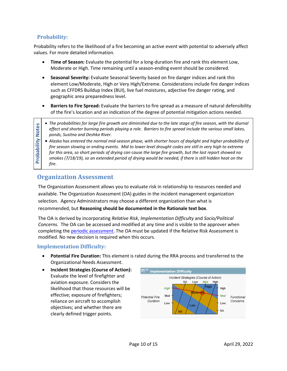### <span id="page-11-0"></span>**Probability:**

Probability refers to the likelihood of a fire becoming an active event with potential to adversely affect values. For more detailed information.

- **Time of Season:** Evaluate the potential for a long-duration fire and rank this element Low, Moderate or High. Time remaining until a season-ending event should be considered.
- **Seasonal Severity:** Evaluate Seasonal Severity based on fire danger indices and rank this element Low/Moderate, High or Very High/Extreme. Considerations include fire danger indices such as CFFDRS Buildup Index (BUI), live fuel moistures, adjective fire danger rating, and geographic area preparedness level.
- **Barriers to Fire Spread:** Evaluate the barriers to fire spread as a measure of natural defensibility of the fire's location and an indication of the degree of potential mitigation actions needed.

- *The probabilities for large fire growth are diminished due to the late stage of fire season, with the diurnal effect and shorter burning periods playing a role. Barriers to fire spread include the various small lakes, ponds, Susitna and Deshka River.*
- *Alaska has entered the normal mid-season phase, with shorter hours of daylight and higher probability of fire season slowing or ending events. Mid to lower level drought codes are still in very high to extreme for this area, so short periods of drying can cause the large fire growth, but the last report showed no smokes (7/18/19), so an extended period of drying would be needed, if there is still hidden heat on the fire.*

# <span id="page-11-1"></span>**Organization Assessment**

The Organization Assessment allows you to evaluate risk in relationship to resources needed and available. The Organization Assessment (OA) guides in the incident management organization selection. Agency Administrators may choose a different organization than what is recommended, but **Reasoning should be documented in the Rationale text box**.

The OA is derived by incorporating *Relative Risk*, *Implementation Difficulty* and *Socio/Political Concerns.* The OA can be accessed and modified at any time and is visible to the approver when completing th[e periodic assessment.](https://wfdss.usgs.gov/wfdss_help/3931.htm#o3813) The OA must be updated if the Relative Risk Assessment is modified. No new decision is required when this occurs.

### <span id="page-11-2"></span>**Implementation Difficulty:**

- **Potential Fire Duration:** This element is rated during the RRA process and transferred to the Organizational Needs Assessment.
- **Incident Strategies (Course of Action):** Evaluate the level of firefighter and aviation exposure. Considers the likelihood that those resources will be effective; exposure of firefighters; reliance on aircraft to accomplish objectives; and whether there are clearly defined trigger points.

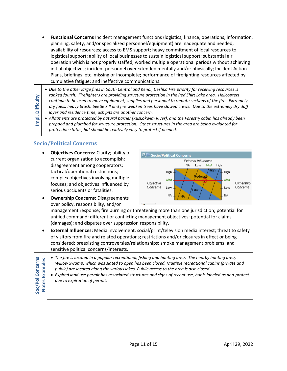- **Functional Concerns** Incident management functions (logistics, finance, operations, information, planning, safety, and/or specialized personnel/equipment) are inadequate and needed; availability of resources; access to EMS support; heavy commitment of local resources to logistical support; ability of local businesses to sustain logistical support; substantial air operation which is not properly staffed; worked multiple operational periods without achieving initial objectives; incident personnel overextended mentally and/or physically; Incident Action Plans, briefings, etc. missing or incomplete; performance of firefighting resources affected by cumulative fatigue; and ineffective communications.
- *Due to the other large fires in South Central and Kenai, Deshka Fire priority for receiving resources is ranked fourth. Firefighters are providing structure protection in the Red Shirt Lake area. Helicopters continue to be used to move equipment, supplies and personnel to remote sections of the fire. Extremely dry fuels, heavy brush, beetle kill and fire weaken trees have slowed crews. Due to the extremely dry duff layer and residence time, ash pits are another concern.*
- *Allotments are protected by natural barrier (Kuskokwim River), and the Forestry cabin has already been prepped and plumbed for structure protection. Other structures in the area are being evaluated for protection status, but should be relatively easy to protect if needed.*

### <span id="page-12-0"></span>**Socio/Political Concerns**

**Impl. Difficulty** 

Impl.

**Difficulty** 

• **Objectives Concerns:** Clarity; ability of current organization to accomplish; disagreement among cooperators; tactical/operational restrictions; complex objectives involving multiple focuses; and objectives influenced by serious accidents or fatalities.



• **Ownership Concerns:** Disagreements over policy, responsibility, and/or

management response; fire burning or threatening more than one jurisdiction; potential for unified command; different or conflicting management objectives; potential for claims (damages); and disputes over suppression responsibility.

• **External Influences:** Media involvement, social/print/television media interest; threat to safety of visitors from fire and related operations; restrictions and/or closures in effect or being considered; preexisting controversies/relationships; smoke management problems; and sensitive political concerns/interests.

|                        | • The fire is located in a popular recreational, fishing and hunting area. The nearby hunting area,<br>Willow Swamp, which was slated to open has been closed. Multiple recreational cabins (private and<br>public) are located along the various lakes. Public access to the area is also closed.<br>Expired land use permit has associated structures and signs of recent use, but is labeled as non-protect<br>due to expiration of permit. |
|------------------------|------------------------------------------------------------------------------------------------------------------------------------------------------------------------------------------------------------------------------------------------------------------------------------------------------------------------------------------------------------------------------------------------------------------------------------------------|
|                        |                                                                                                                                                                                                                                                                                                                                                                                                                                                |
| I Concerns<br>Examples |                                                                                                                                                                                                                                                                                                                                                                                                                                                |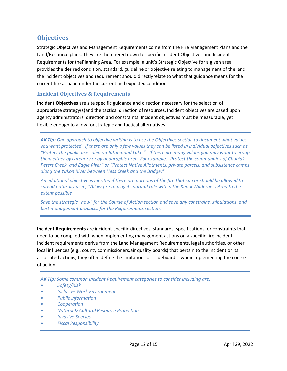### <span id="page-13-0"></span>**Objectives**

Strategic Objectives and Management Requirements come from the Fire Management Plans and the Land/Resource plans. They are then tiered down to specific Incident Objectives and Incident Requirements for thePlanning Area. For example, a unit's Strategic Objective for a given area provides the desired condition, standard, guideline or objective relating to management of the land; the incident objectives and requirement should directlyrelate to what that guidance means for the current fire at hand under the current and expected conditions.

### <span id="page-13-1"></span>**Incident Objectives & Requirements**

**Incident Objectives** are site specific guidance and direction necessary for the selection of appropriate strategy(s)and the tactical direction of resources. Incident objectives are based upon agency administrators' direction and constraints. Incident objectives must be measurable, yet flexible enough to allow for strategic and tactical alternatives.

*AK Tip: One approach to objective writing is to use the Objectives section to document what values you want protected. If there are only a few values they can be listed in individual objectives such as "Protect the public-use cabin on Jatahmund Lake." If there are many values you may want to group them either by category or by geographic area. For example, "Protect the communities of Chugiak, Peters Creek, and Eagle River" or "Protect Native Allotments, private parcels, and subsistence camps along the Yukon River between Hess Creek and the Bridge."* 

*An additional objective is merited if there are portions of the fire that can or should be allowed to spread naturally as in, "Allow fire to play its natural role within the Kenai Wilderness Area to the extent possible."*

*Save the strategic "how" for the Course of Action section and save any constrains, stipulations, and best management practices for the Requirements section.*

**Incident Requirements** are incident-specific directives, standards, specifications, or constraints that need to be complied with when implementing management actions on a specific fire incident. Incident requirements derive from the Land Management Requirements, legal authorities, or other local influences (e.g., county commissioners,air quality boards) that pertain to the incident or its associated actions; they often define the limitations or "sideboards" when implementing the course of action.

*AK Tip: Some common Incident Requirement categories to consider including are:*

- *Safety/Risk*
- *Inclusive Work Environment*
- *Public Information*
- *Cooperation*
- *Natural & Cultural Resource Protection*
- *Invasive Species*
- *Fiscal Responsibility*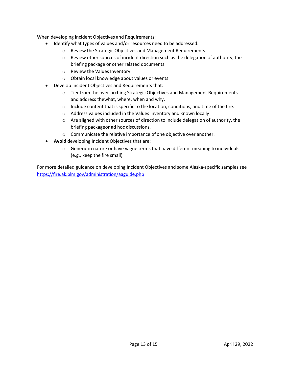When developing Incident Objectives and Requirements:

- Identify what types of values and/or resources need to be addressed:
	- o Review the Strategic Objectives and Management Requirements.
	- $\circ$  Review other sources of incident direction such as the delegation of authority, the briefing package or other related documents.
	- o Review the Values Inventory.
	- o Obtain local knowledge about values or events
- Develop Incident Objectives and Requirements that:
	- $\circ$  Tier from the over-arching Strategic Objectives and Management Requirements and address thewhat, where, when and why.
	- $\circ$  Include content that is specific to the location, conditions, and time of the fire.
	- o Address values included in the Values Inventory and known locally
	- $\circ$  Are aligned with other sources of direction to include delegation of authority, the briefing packageor ad hoc discussions.
	- o Communicate the relative importance of one objective over another.
- **Avoid** developing Incident Objectives that are:
	- $\circ$  Generic in nature or have vague terms that have different meaning to individuals (e.g., keep the fire small)

For more detailed guidance on developing Incident Objectives and some Alaska-specific samples see https://fire.ak.blm.gov/administration/aaguide.php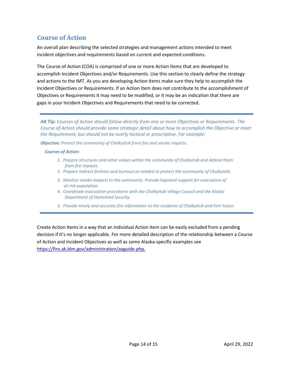# <span id="page-15-0"></span>**Course of Action**

An overall plan describing the selected strategies and management actions intended to meet incident objectives and requirements based on current and expected conditions.

The Course of Action (COA) is comprised of one or more Action Items that are developed to accomplish Incident Objectives and/or Requirements. Use this section to clearly define the strategy and actions to the IMT. As you are developing Action Items make sure they help to accomplish the Incident Objectives or Requirements. If an Action Item does not contribute to the accomplishment of Objectives or Requirements it may need to be modified, or it may be an indication that there are gaps in your Incident Objectives and Requirements that need to be corrected.

*AK Tip: Courses of Action should follow directly from one or more Objectives or Requirements. The Course of Action should provide some strategic detail about how to accomplish the Objective or meet the Requirement, but should not be overly tactical or prescriptive. For example:*

*Objective: Protect the community of Chalkyitsik from fire and smoke impacts.*

#### *Courses of Action:*

- *1. Prepare structures and other values within the community of Chalkyitsik and defend them from fire impacts.*
- *2. Prepare indirect firelines and burnout as needed to protect the community of Chalkyitsik.*
- *3. Monitor smoke impacts to the community. Provide logistical support for evacuation of at-risk population.*
- *4. Coordinate evacuation procedures with the Chalkyitsik Village Council and the Alaska Department of Homeland Security.*
- *5. Provide timely and accurate fire information to the residents of Chalkyitsik and Fort Yukon.*

Create Action Items in a way that an individual Action Item can be easily excluded from a pending decision if it's no longer applicable. For more detailed description of the relationship between a Course of Action and Incident Objectives as well as some Alaska-specific examples see https://fire.ak.blm.gov/administration/aaguide.php.